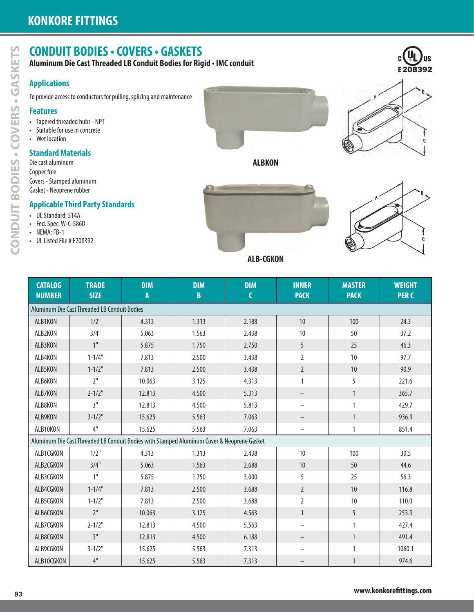# **CONDUIT BODIES • COVERS • GASKETS**

# **Applications**

## **Features**

- Tapered threaded hubs NPT
- Suitable for use in concrete
- Wet location

## **Standard Materials**

## **Applicable Third Party Standards**

- UL Standard: 514A
- Fed. Spec. W-C-586D
- NEMA: FB-1
- UL Listed File # E208392





|  |  |  | <b>ALB-CGKON</b> |  |
|--|--|--|------------------|--|
|  |  |  |                  |  |

| <b>Applications</b>                              |                                              |                                                                                            |                |                  |                   |               |                 |
|--------------------------------------------------|----------------------------------------------|--------------------------------------------------------------------------------------------|----------------|------------------|-------------------|---------------|-----------------|
|                                                  |                                              | To provide access to conductors for pulling, splicing and maintenance                      |                |                  |                   |               |                 |
| <b>Features</b>                                  |                                              |                                                                                            |                |                  |                   |               |                 |
| • Tapered threaded hubs - NPT                    |                                              |                                                                                            |                |                  |                   |               |                 |
| • Suitable for use in concrete<br>• Wet location |                                              |                                                                                            |                |                  |                   |               |                 |
| <b>Standard Materials</b>                        |                                              |                                                                                            |                |                  |                   |               |                 |
| Die cast aluminum                                |                                              |                                                                                            |                | <b>ALBKON</b>    |                   |               |                 |
| Copper free<br>Covers - Stamped aluminum         |                                              |                                                                                            |                |                  |                   |               |                 |
| Gasket - Neoprene rubber                         |                                              |                                                                                            |                |                  |                   |               |                 |
|                                                  | <b>Applicable Third Party Standards</b>      |                                                                                            |                |                  |                   |               |                 |
| • UL Standard: 514A                              |                                              |                                                                                            |                |                  |                   |               |                 |
| • Fed. Spec. W-C-586D<br>• NEMA: FB-1            |                                              |                                                                                            |                |                  |                   |               |                 |
| • UL Listed File # E208392                       |                                              |                                                                                            |                |                  |                   |               |                 |
|                                                  |                                              |                                                                                            |                | <b>ALB-CGKON</b> |                   |               |                 |
|                                                  |                                              |                                                                                            |                |                  |                   |               |                 |
| <b>CATALOG</b>                                   | <b>TRADE</b>                                 | <b>DIM</b>                                                                                 | <b>DIM</b>     | <b>DIM</b>       | <b>INNER</b>      | <b>MASTER</b> | <b>WEIGHT</b>   |
| <b>NUMBER</b>                                    | <b>SIZE</b>                                  | A                                                                                          | $\mathbf{B}$   | $\mathsf{C}$     | <b>PACK</b>       | <b>PACK</b>   | <b>PERC</b>     |
|                                                  | Aluminum Die Cast Threaded LB Conduit Bodies |                                                                                            |                |                  |                   |               |                 |
| ALB1KON                                          | $1/2$ "                                      | 4.313                                                                                      | 1.313          | 2.188            | 10                | 100           | 24.3            |
| ALB2KON                                          | 3/4"                                         | 5.063                                                                                      | 1.563          | 2.438            | 10                | 50            | 37.2            |
| ALB3KON                                          | 1"                                           | 5.875                                                                                      | 1.750          | 2.750            | 5                 | 25            | 46.3            |
| ALB4KON                                          | $1 - 1/4"$                                   | 7.813                                                                                      | 2.500          | 3.438            | $\overline{2}$    | 10            | 97.7            |
| ALB5KON                                          | $1 - 1/2"$                                   | 7.813                                                                                      | 2.500          | 3.438            | $\overline{2}$    | 10            | 90.9            |
| ALB6KON                                          | 2 <sup>n</sup>                               | 10.063                                                                                     | 3.125          | 4.313            | $\mathbf{1}$      | 5             | 221.6           |
| ALB7KON                                          | $2 - 1/2"$                                   | 12.813                                                                                     | 4.500          | 5.313            |                   | $\mathbf{1}$  | 365.7           |
| ALB8KON                                          | 3"                                           | 12.813                                                                                     | 4.500          | 5.813            |                   | $\mathbf{1}$  | 429.7           |
| ALB9KON                                          | $3 - 1/2$ "                                  | 15.625                                                                                     | 5.563          | 7.063            |                   | $\mathbf{1}$  | 936.9           |
| ALB10KON                                         | 4"                                           | 15.625                                                                                     | 5.563          | 7.063            |                   | $\mathbf{1}$  | 851.4           |
|                                                  |                                              | Aluminum Die Cast Threaded LB Conduit Bodies with Stamped Aluminum Cover & Neoprene Gasket |                |                  |                   |               |                 |
| ALB1CGKON                                        | $1/2$ "                                      | 4.313                                                                                      | 1.313          | 2.438            | $10$              | 100           | 30.5            |
| ALB2CGKON                                        | 3/4"                                         | 5.063                                                                                      | 1.563          | 2.688            | $10$              | 50            | 44.6            |
| ALB3CGKON                                        | 1"                                           | 5.875                                                                                      | 1.750          | 3.000            | 5                 | 25            | 56.3            |
| ALB4CGKON                                        | $1 - 1/4"$                                   | 7.813                                                                                      | 2.500          | 3.688            | $\overline{2}$    | $10\,$        | 116.8           |
|                                                  | $1 - 1/2"$                                   | 7.813                                                                                      | 2.500          | 3.688            | $\overline{2}$    | 10            | 110.0           |
| ALB5CGKON                                        | 2 <sup>11</sup>                              | 10.063                                                                                     | 3.125          | 4.563            | $\mathbf{1}$      | 5             | 253.9           |
| ALB6CGKON                                        |                                              | 12.813                                                                                     | 4.500          | 5.563            |                   | $\mathbf{1}$  | 427.4           |
| ALB7CGKON                                        | $2 - 1/2"$                                   |                                                                                            |                | 6.188            |                   | $\mathbf{1}$  | 491.4           |
| ALB8CGKON                                        | 3"                                           | 12.813                                                                                     | 4.500          |                  |                   |               |                 |
| ALB9CGKON<br>ALB10CGKON                          | $3 - 1/2"$<br>$4"$                           | 15.625<br>15.625                                                                           | 5.563<br>5.563 | 7.313<br>7.313   | $\qquad \qquad -$ | 1             | 1060.1<br>974.6 |

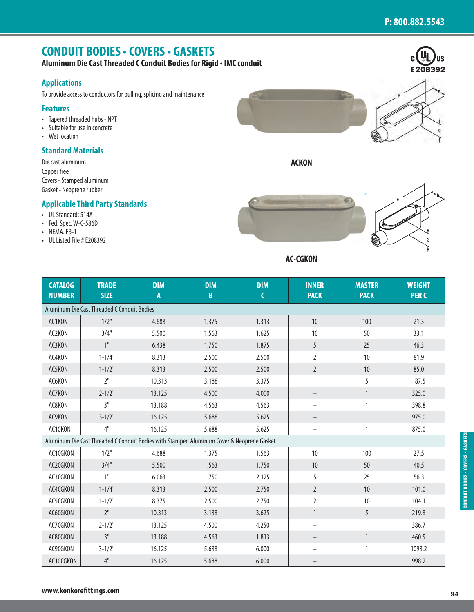E208392

 $\mathbf{c}$ 

# **CONDUIT BODIES • COVERS • GASKETS**

**Aluminum Die Cast Threaded C Conduit Bodies for Rigid • IMC conduit**

### **Applications**

To provide access to conductors for pulling, splicing and maintenance

#### **Features**

- Tapered threaded hubs NPT
- Suitable for use in concrete
- Wet location

#### **Standard Materials**

Die cast aluminum Copper free Covers - Stamped aluminum Gasket - Neoprene rubber

#### **Applicable Third Party Standards**

- UL Standard: 514A
- Fed. Spec. W-C-586D
- $\cdot$  NEMA: FB-1
- UL Listed File # E208392



**ACKON**



**AC-CGKON**

| <b>CATALOG</b><br><b>NUMBER</b> | <b>TRADE</b><br><b>SIZE</b>                                                               | <b>DIM</b><br>A | <b>DIM</b><br>B | <b>DIM</b> | <b>INNER</b><br><b>PACK</b> | <b>MASTER</b><br><b>PACK</b> | <b>WEIGHT</b><br><b>PERC</b> |
|---------------------------------|-------------------------------------------------------------------------------------------|-----------------|-----------------|------------|-----------------------------|------------------------------|------------------------------|
|                                 | Aluminum Die Cast Threaded C Conduit Bodies                                               |                 |                 |            |                             |                              |                              |
| AC1KON                          | $1/2$ "                                                                                   | 4.688           | 1.375           | 1.313      | 10                          | 100                          | 21.3                         |
| AC2KON                          | 3/4"                                                                                      | 5.500           | 1.563           | 1.625      | $10$                        | 50                           | 33.1                         |
| AC3KON                          | 1"                                                                                        | 6.438           | 1.750           | 1.875      | 5                           | 25                           | 46.3                         |
| AC4KON                          | $1 - 1/4"$                                                                                | 8.313           | 2.500           | 2.500      | $\overline{2}$              | 10                           | 81.9                         |
| AC5KON                          | $1 - 1/2$ "                                                                               | 8.313           | 2.500           | 2.500      | $\overline{2}$              | 10                           | 85.0                         |
| AC6KON                          | 2"                                                                                        | 10.313          | 3.188           | 3.375      | $\mathbf{1}$                | 5                            | 187.5                        |
| AC7KON                          | $2 - 1/2$ "                                                                               | 13.125          | 4.500           | 4.000      | $\qquad \qquad -$           | $\mathbbm{1}$                | 325.0                        |
| AC8KON                          | 3"                                                                                        | 13.188          | 4.563           | 4.563      |                             | $\mathbf{1}$                 | 398.8                        |
| AC9KON                          | $3 - 1/2$ "                                                                               | 16.125          | 5.688           | 5.625      | —                           | $\mathbf{1}$                 | 975.0                        |
| AC10KON                         | 4"                                                                                        | 16.125          | 5.688           | 5.625      | $\qquad \qquad -$           | $\mathbf{1}$                 | 875.0                        |
|                                 | Aluminum Die Cast Threaded C Conduit Bodies with Stamped Aluminum Cover & Neoprene Gasket |                 |                 |            |                             |                              |                              |
| AC1CGKON                        | $1/2$ "                                                                                   | 4.688           | 1.375           | 1.563      | 10                          | 100                          | 27.5                         |
| AC2CGKON                        | 3/4"                                                                                      | 5.500           | 1.563           | 1.750      | $10$                        | 50                           | 40.5                         |
| AC3CGKON                        | 1 <sup>0</sup>                                                                            | 6.063           | 1.750           | 2.125      | 5                           | 25                           | 56.3                         |
| AC4CGKON                        | $1 - 1/4"$                                                                                | 8.313           | 2.500           | 2.750      | $\overline{2}$              | 10                           | 101.0                        |
| AC5CGKON                        | $1 - 1/2"$                                                                                | 8.375           | 2.500           | 2.750      | $\overline{2}$              | 10                           | 104.1                        |
| AC6CGKON                        | 2"                                                                                        | 10.313          | 3.188           | 3.625      | $\mathbf{1}$                | 5                            | 219.8                        |
| AC7CGKON                        | $2 - 1/2"$                                                                                | 13.125          | 4.500           | 4.250      | $\qquad \qquad -$           | 1                            | 386.7                        |
| AC8CGKON                        | 3"                                                                                        | 13.188          | 4.563           | 1.813      | -                           | $\mathbf{1}$                 | 460.5                        |
| AC9CGKON                        | $3 - 1/2"$                                                                                | 16.125          | 5.688           | 6.000      | $\overline{\phantom{0}}$    | $\mathbf{1}$                 | 1098.2                       |
| AC10CGKON                       | 4"                                                                                        | 16.125          | 5.688           | 6.000      |                             | $\mathbf{1}$                 | 998.2                        |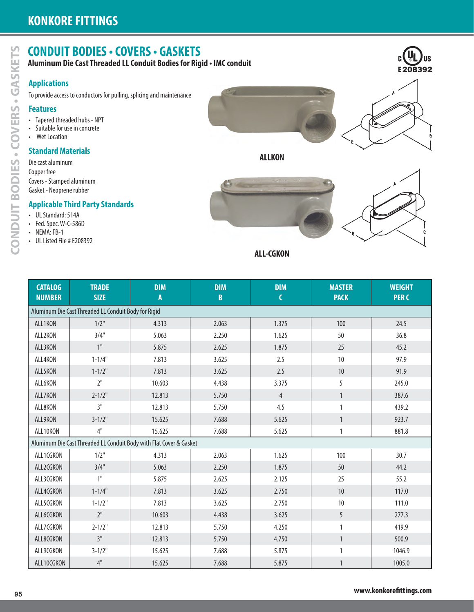# **CONDUIT BODIES • COVERS • GASKETS**

# **Applications**

### **Features**

- Tapered threaded hubs NPT
- Suitable for use in concrete
- Wet Location

## **Standard Materials**





# **Applicable Third Party Standards**

- UL Standard: 514A
- Fed. Spec. W-C-586D
- NEMA: FB-1
- UL Listed File # E208392







| <b>Applications</b>                                             |                                                      |                                                                       |                 |                  |                              |                              |
|-----------------------------------------------------------------|------------------------------------------------------|-----------------------------------------------------------------------|-----------------|------------------|------------------------------|------------------------------|
|                                                                 |                                                      | To provide access to conductors for pulling, splicing and maintenance |                 |                  |                              |                              |
| <b>Features</b>                                                 |                                                      |                                                                       |                 |                  |                              |                              |
| • Tapered threaded hubs - NPT<br>• Suitable for use in concrete |                                                      |                                                                       |                 |                  |                              |                              |
| • Wet Location                                                  |                                                      |                                                                       |                 |                  |                              |                              |
| <b>Standard Materials</b>                                       |                                                      |                                                                       |                 |                  |                              |                              |
| Die cast aluminum                                               |                                                      |                                                                       |                 | <b>ALLKON</b>    |                              |                              |
| Copper free                                                     |                                                      |                                                                       |                 |                  |                              |                              |
| Covers - Stamped aluminum<br>Gasket - Neoprene rubber           |                                                      |                                                                       |                 |                  |                              |                              |
|                                                                 | <b>Applicable Third Party Standards</b>              |                                                                       |                 |                  |                              |                              |
| • UL Standard: 514A                                             |                                                      |                                                                       |                 |                  |                              |                              |
| • Fed. Spec. W-C-586D                                           |                                                      |                                                                       |                 |                  |                              |                              |
| • NEMA: FB-1<br>• UL Listed File # E208392                      |                                                      |                                                                       |                 |                  |                              |                              |
|                                                                 |                                                      |                                                                       |                 | <b>ALL-CGKON</b> |                              |                              |
|                                                                 |                                                      |                                                                       |                 |                  |                              |                              |
|                                                                 |                                                      |                                                                       |                 |                  |                              |                              |
| <b>CATALOG</b><br><b>NUMBER</b>                                 | <b>TRADE</b><br><b>SIZE</b>                          | <b>DIM</b><br>A                                                       | <b>DIM</b><br>B | <b>DIM</b><br>C  | <b>MASTER</b><br><b>PACK</b> | <b>WEIGHT</b><br><b>PERC</b> |
|                                                                 | Aluminum Die Cast Threaded LL Conduit Body for Rigid |                                                                       |                 |                  |                              |                              |
| ALL1KON                                                         | $1/2$ "                                              | 4.313                                                                 | 2.063           | 1.375            | 100                          | 24.5                         |
| ALL2KON                                                         | 3/4"                                                 | 5.063                                                                 | 2.250           | 1.625            | 50                           | 36.8                         |
| ALL3KON                                                         | 1 <sup>''</sup>                                      | 5.875                                                                 | 2.625           | 1.875            | 25                           | 45.2                         |
| ALL4KON                                                         | $1 - 1/4"$                                           | 7.813                                                                 | 3.625           | 2.5              | 10                           | 97.9                         |
| ALL5KON                                                         | $1 - 1/2"$                                           | 7.813                                                                 | 3.625           | 2.5              | 10                           | 91.9                         |
| ALL6KON                                                         | $2"$                                                 | 10.603                                                                | 4.438           | 3.375            | 5                            | 245.0                        |
| ALL7KON                                                         | $2 - 1/2$ "                                          | 12.813                                                                | 5.750           | $\overline{4}$   | 1                            | 387.6                        |
| ALL8KON                                                         | 3"                                                   | 12.813                                                                | 5.750           | 4.5              | 1                            | 439.2                        |
| ALL9KON                                                         | $3 - 1/2$ "                                          | 15.625                                                                | 7.688           | 5.625            | $\mathbf{1}$                 | 923.7                        |
|                                                                 | $4"$                                                 | 15.625                                                                | 7.688           | 5.625            | $\mathbbm{1}$                | 881.8                        |
| ALL10KON                                                        |                                                      | Aluminum Die Cast Threaded LL Conduit Body with Flat Cover & Gasket   |                 |                  |                              |                              |
|                                                                 |                                                      |                                                                       | 2.063           | 1.625            | 100                          | 30.7                         |
| ALL1CGKON                                                       | $1/2$ "                                              | 4.313                                                                 |                 |                  |                              |                              |
| ALL2CGKON                                                       | 3/4"                                                 | 5.063                                                                 | 2.250           | 1.875            | 50                           | 44.2                         |
| ALL3CGKON                                                       | 1"                                                   | 5.875                                                                 | 2.625           | 2.125            | 25                           | 55.2                         |
| ALL4CGKON                                                       | $1 - 1/4$ "                                          | 7.813                                                                 | 3.625           | 2.750            | $10$                         | 117.0                        |
| ALL5CGKON                                                       | $1 - 1/2"$                                           | 7.813                                                                 | 3.625           | 2.750            | $10$                         | 111.0                        |
| ALL6CGKON                                                       | 2 <sup>11</sup>                                      | 10.603                                                                | 4.438           | 3.625            | 5                            | 277.3                        |
| ALL7CGKON                                                       | $2 - 1/2"$                                           | 12.813                                                                | 5.750           | 4.250            | $\mathbf{1}$                 | 419.9                        |
| ALL8CGKON                                                       | 3"                                                   | 12.813                                                                | 5.750           | 4.750            | $\mathbf{1}$                 | 500.9                        |
| ALL9CGKON<br>ALL10CGKON                                         | $3 - 1/2$ "<br>$4"$                                  | 15.625<br>15.625                                                      | 7.688<br>7.688  | 5.875<br>5.875   | $\mathbf{1}$                 | 1046.9<br>1005.0             |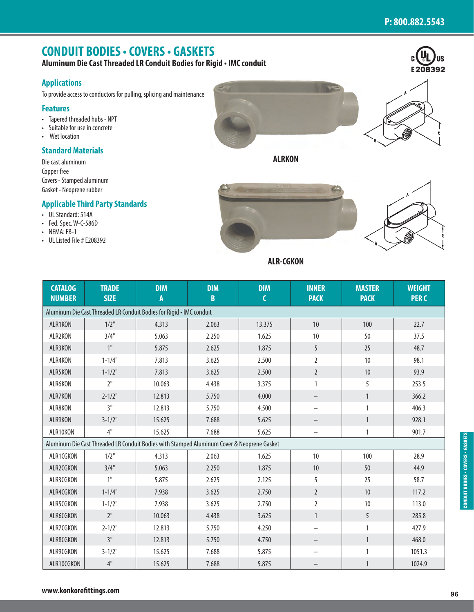IJŚ

E208392

# **CONDUIT BODIES • COVERS • GASKETS**

**Aluminum Die Cast Threaded LR Conduit Bodies for Rigid • IMC conduit**

# **Applications**

To provide access to conductors for pulling, splicing and maintenance

# **Features**

- Tapered threaded hubs NPT
- Suitable for use in concrete
- Wet location

# **Standard Materials**

Die cast aluminum Copper free Covers - Stamped aluminum Gasket - Neoprene rubber

# **Applicable Third Party Standards**

- UL Standard: 514A
- Fed. Spec. W-C-586D
- $\cdot$  NEMA: FB-1
- UL Listed File # E208392



**ALRKON**



**ALR-CGKON**

| <b>CATALOG</b><br><b>NUMBER</b> | <b>TRADE</b><br><b>SIZE</b>                                                                | <b>DIM</b><br>A | <b>DIM</b><br>$\mathbf B$ | <b>DIM</b><br>$\mathsf{C}$ | <b>INNER</b><br><b>PACK</b> | <b>MASTER</b><br><b>PACK</b> | <b>WEIGHT</b><br><b>PERC</b> |
|---------------------------------|--------------------------------------------------------------------------------------------|-----------------|---------------------------|----------------------------|-----------------------------|------------------------------|------------------------------|
|                                 | Aluminum Die Cast Threaded LR Conduit Bodies for Rigid . IMC conduit                       |                 |                           |                            |                             |                              |                              |
| ALR1KON                         | $1/2$ "                                                                                    | 4.313           | 2.063                     | 13.375                     | 10                          | 100                          | 22.7                         |
| ALR2KON                         | 3/4"                                                                                       | 5.063           | 2.250                     | 1.625                      | 10                          | 50                           | 37.5                         |
| ALR3KON                         | 1"                                                                                         | 5.875           | 2.625                     | 1.875                      | 5                           | 25                           | 48.7                         |
| ALR4KON                         | $1 - 1/4"$                                                                                 | 7.813           | 3.625                     | 2.500                      | $\overline{2}$              | 10                           | 98.1                         |
| ALR5KON                         | $1 - 1/2"$                                                                                 | 7.813           | 3.625                     | 2.500                      | $\overline{2}$              | 10                           | 93.9                         |
| ALR6KON                         | 2"                                                                                         | 10.063          | 4.438                     | 3.375                      | $\mathbf{1}$                | 5                            | 253.5                        |
| ALR7KON                         | $2 - 1/2"$                                                                                 | 12.813          | 5.750                     | 4.000                      | $\qquad \qquad -$           | $\mathbf{1}$                 | 366.2                        |
| ALR8KON                         | 3"                                                                                         | 12.813          | 5.750                     | 4.500                      |                             | 1                            | 406.3                        |
| ALR9KON                         | $3 - 1/2"$                                                                                 | 15.625          | 7.688                     | 5.625                      | $\qquad \qquad -$           | $\mathbf{1}$                 | 928.1                        |
| ALR10KON                        | 4"                                                                                         | 15.625          | 7.688                     | 5.625                      |                             | 1                            | 901.7                        |
|                                 | Aluminum Die Cast Threaded LR Conduit Bodies with Stamped Aluminum Cover & Neoprene Gasket |                 |                           |                            |                             |                              |                              |
| ALR1CGKON                       | $1/2$ "                                                                                    | 4.313           | 2.063                     | 1.625                      | 10                          | 100                          | 28.9                         |
| ALR2CGKON                       | 3/4"                                                                                       | 5.063           | 2.250                     | 1.875                      | 10                          | 50                           | 44.9                         |
| ALR3CGKON                       | 1"                                                                                         | 5.875           | 2.625                     | 2.125                      | 5                           | 25                           | 58.7                         |
| ALR4CGKON                       | $1 - 1/4"$                                                                                 | 7.938           | 3.625                     | 2.750                      | $\overline{2}$              | 10                           | 117.2                        |
| ALR5CGKON                       | $1 - 1/2"$                                                                                 | 7.938           | 3.625                     | 2.750                      | $\overline{2}$              | 10                           | 113.0                        |
| ALR6CGKON                       | 2"                                                                                         | 10.063          | 4.438                     | 3.625                      | $\mathbf{1}$                | 5                            | 285.8                        |
| ALR7CGKON                       | $2 - 1/2"$                                                                                 | 12.813          | 5.750                     | 4.250                      | $\overline{\phantom{0}}$    | 1                            | 427.9                        |
| ALR8CGKON                       | 3"                                                                                         | 12.813          | 5.750                     | 4.750                      |                             | 1                            | 468.0                        |
| ALR9CGKON                       | $3 - 1/2"$                                                                                 | 15.625          | 7.688                     | 5.875                      |                             | 1                            | 1051.3                       |
| ALR10CGKON                      | 4"                                                                                         | 15.625          | 7.688                     | 5.875                      |                             | $\mathbf{1}$                 | 1024.9                       |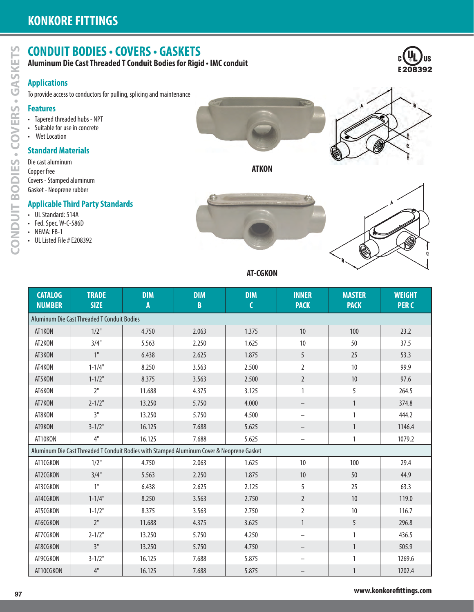# **CONDUIT BODIES • COVERS • GASKETS**

# **Applications**

### **Features**

- Tapered threaded hubs NPT
- Suitable for use in concrete
- Wet Location

## **Standard Materials**

- Die cast aluminum Copper free Covers - Stamped aluminum
- Gasket Neoprene rubber

# **Applicable Third Party Standards**

- UL Standard: 514A
- Fed. Spec. W-C-586D
- NEMA: FB-1
- UL Listed File # E208392











#### **AT-CGKON**

|                                                  |                                             | Aluminum Die Cast Threaded T Conduit Bodies for Rigid . IMC conduit                       |                |                 |                   |               |                                                                                                 |
|--------------------------------------------------|---------------------------------------------|-------------------------------------------------------------------------------------------|----------------|-----------------|-------------------|---------------|-------------------------------------------------------------------------------------------------|
| <b>Applications</b>                              |                                             | To provide access to conductors for pulling, splicing and maintenance                     |                |                 |                   |               |                                                                                                 |
| <b>Features</b>                                  |                                             |                                                                                           |                |                 |                   |               |                                                                                                 |
| • Tapered threaded hubs - NPT                    |                                             |                                                                                           |                |                 |                   |               |                                                                                                 |
| • Suitable for use in concrete<br>• Wet Location |                                             |                                                                                           |                |                 |                   |               |                                                                                                 |
| <b>Standard Materials</b>                        |                                             |                                                                                           |                |                 |                   |               |                                                                                                 |
| Die cast aluminum                                |                                             |                                                                                           |                | <b>ATKON</b>    |                   |               |                                                                                                 |
| Copper free<br>Covers - Stamped aluminum         |                                             |                                                                                           |                |                 |                   |               |                                                                                                 |
| Gasket - Neoprene rubber                         |                                             |                                                                                           |                |                 |                   |               |                                                                                                 |
|                                                  | <b>Applicable Third Party Standards</b>     |                                                                                           |                |                 |                   |               |                                                                                                 |
| • UL Standard: 514A<br>• Fed. Spec. W-C-586D     |                                             |                                                                                           |                |                 |                   |               |                                                                                                 |
| • NEMA: FB-1<br>• UL Listed File # E208392       |                                             |                                                                                           |                |                 |                   |               |                                                                                                 |
|                                                  |                                             |                                                                                           |                |                 |                   |               |                                                                                                 |
|                                                  |                                             |                                                                                           |                |                 |                   |               |                                                                                                 |
|                                                  |                                             |                                                                                           |                | <b>AT-CGKON</b> |                   |               |                                                                                                 |
| <b>CATALOG</b>                                   | <b>TRADE</b>                                | <b>DIM</b>                                                                                | <b>DIM</b>     | <b>DIM</b>      | <b>INNER</b>      | <b>MASTER</b> | <b>WEIGHT</b>                                                                                   |
| <b>NUMBER</b>                                    | <b>SIZE</b>                                 | A                                                                                         | B              | $\mathsf{C}$    | <b>PACK</b>       | <b>PACK</b>   | <b>PERC</b>                                                                                     |
|                                                  | Aluminum Die Cast Threaded T Conduit Bodies |                                                                                           |                |                 |                   |               |                                                                                                 |
| AT1KON<br>AT2KON                                 | $1/2$ "<br>3/4"                             | 4.750<br>5.563                                                                            | 2.063<br>2.250 | 1.375<br>1.625  | 10<br>$10$        | 100<br>50     | 23.2<br>37.5                                                                                    |
| AT3KON                                           | 1"                                          | 6.438                                                                                     | 2.625          | 1.875           | 5                 | 25            | 53.3                                                                                            |
|                                                  |                                             |                                                                                           |                |                 |                   |               |                                                                                                 |
| AT4KON                                           | $1 - 1/4"$                                  | 8.250                                                                                     | 3.563          | 2.500           | 2                 | 10            | 99.9                                                                                            |
| AT5KON                                           | $1 - 1/2"$                                  | 8.375                                                                                     | 3.563          | 2.500           | $\overline{2}$    | 10            | 97.6                                                                                            |
|                                                  | $2"$                                        | 11.688                                                                                    | 4.375          | 3.125           |                   | 5             | 264.5                                                                                           |
| AT6KON                                           |                                             |                                                                                           |                |                 |                   |               |                                                                                                 |
| AT7KON                                           | $2 - 1/2"$                                  | 13.250                                                                                    | 5.750          | 4.000           |                   | $\mathbf{1}$  |                                                                                                 |
| AT8KON                                           | 3"                                          | 13.250                                                                                    | 5.750          | 4.500           |                   | $\mathbf{1}$  | 374.8<br>444.2                                                                                  |
| AT9KON                                           | $3 - 1/2"$                                  | 16.125                                                                                    | 7.688          | 5.625           |                   | $\mathbf{1}$  |                                                                                                 |
| AT10KON                                          | 4"                                          | 16.125                                                                                    | 7.688          | 5.625           |                   | $\mathbf{1}$  |                                                                                                 |
|                                                  |                                             | Aluminum Die Cast Threaded T Conduit Bodies with Stamped Aluminum Cover & Neoprene Gasket |                |                 |                   |               |                                                                                                 |
| AT1CGKON                                         | $1/2$ "                                     | 4.750                                                                                     | 2.063          | 1.625           | $10$              | 100           |                                                                                                 |
| AT2CGKON                                         | 3/4"                                        | 5.563                                                                                     | 2.250          | 1.875           | $10\,$            | $50\,$        |                                                                                                 |
| AT3CGKON                                         | 1"                                          | 6.438                                                                                     | 2.625          | 2.125           | 5                 | 25            |                                                                                                 |
| AT4CGKON                                         | $1 - 1/4"$                                  | 8.250                                                                                     | 3.563          | 2.750           | $\overline{2}$    | $10\,$        |                                                                                                 |
| AT5CGKON                                         | $1 - 1/2"$                                  | 8.375                                                                                     | 3.563          | 2.750           | $\overline{2}$    | $10\,$        |                                                                                                 |
| AT6CGKON                                         | 2 <sup>11</sup>                             | 11.688                                                                                    | 4.375          | 3.625           | $\mathbf{1}$      | 5             |                                                                                                 |
| AT7CGKON                                         | $2 - 1/2"$                                  | 13.250                                                                                    | 5.750          | 4.250           | $\qquad \qquad -$ | $\mathbf{1}$  |                                                                                                 |
| AT8CGKON                                         | 3"                                          | 13.250                                                                                    | 5.750          | 4.750           |                   | $\mathbf{1}$  |                                                                                                 |
| AT9CGKON                                         | $3 - 1/2"$<br>$4"$                          | 16.125                                                                                    | 7.688          | 5.875           |                   | $\mathbf{1}$  | 1146.4<br>1079.2<br>29.4<br>44.9<br>63.3<br>119.0<br>116.7<br>296.8<br>436.5<br>505.9<br>1269.6 |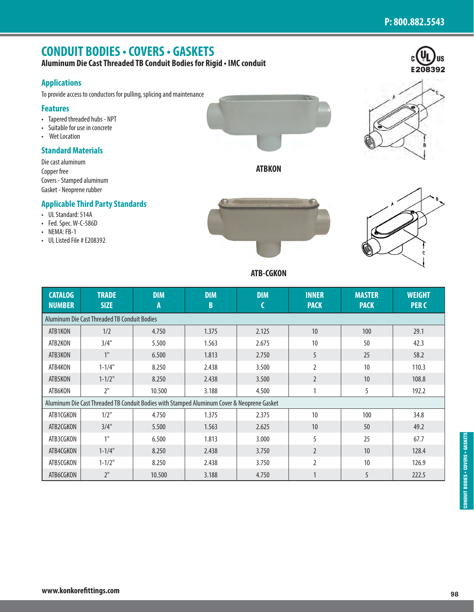E208392

# **CONDUIT BODIES • COVERS • GASKETS**

**Aluminum Die Cast Threaded TB Conduit Bodies for Rigid • IMC conduit**

### **Applications**

To provide access to conductors for pulling, splicing and maintenance

#### **Features**

- Tapered threaded hubs NPT
- Suitable for use in concrete
- Wet Location

#### **Standard Materials**

Die cast aluminum Copper free Covers - Stamped aluminum Gasket - Neoprene rubber

#### **Applicable Third Party Standards**

- UL Standard: 514A
- Fed. Spec. W-C-586D
- NEMA: FB-1
- UL Listed File # E208392



**ATBKON**

#### **ATB-CGKON**